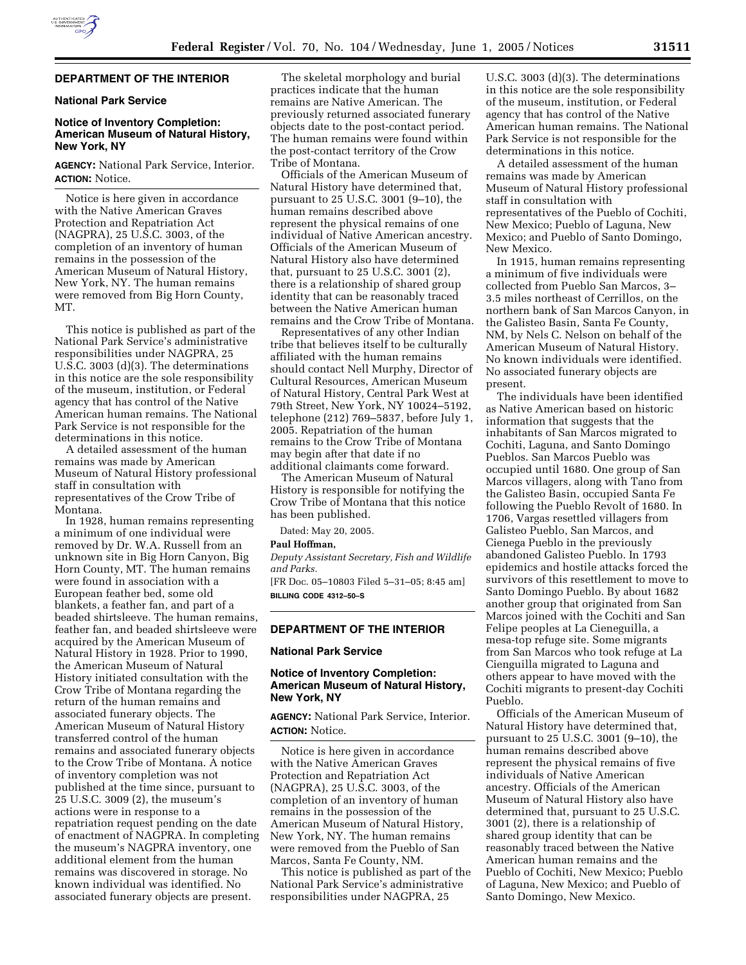

### **DEPARTMENT OF THE INTERIOR**

# **National Park Service**

## **Notice of Inventory Completion: American Museum of Natural History, New York, NY**

# **AGENCY:** National Park Service, Interior. **ACTION:** Notice.

Notice is here given in accordance with the Native American Graves Protection and Repatriation Act (NAGPRA), 25 U.S.C. 3003, of the completion of an inventory of human remains in the possession of the American Museum of Natural History, New York, NY. The human remains were removed from Big Horn County, MT.

This notice is published as part of the National Park Service's administrative responsibilities under NAGPRA, 25 U.S.C. 3003 (d)(3). The determinations in this notice are the sole responsibility of the museum, institution, or Federal agency that has control of the Native American human remains. The National Park Service is not responsible for the determinations in this notice.

A detailed assessment of the human remains was made by American Museum of Natural History professional staff in consultation with representatives of the Crow Tribe of Montana.

In 1928, human remains representing a minimum of one individual were removed by Dr. W.A. Russell from an unknown site in Big Horn Canyon, Big Horn County, MT. The human remains were found in association with a European feather bed, some old blankets, a feather fan, and part of a beaded shirtsleeve. The human remains, feather fan, and beaded shirtsleeve were acquired by the American Museum of Natural History in 1928. Prior to 1990, the American Museum of Natural History initiated consultation with the Crow Tribe of Montana regarding the return of the human remains and associated funerary objects. The American Museum of Natural History transferred control of the human remains and associated funerary objects to the Crow Tribe of Montana. A notice of inventory completion was not published at the time since, pursuant to 25 U.S.C. 3009 (2), the museum's actions were in response to a repatriation request pending on the date of enactment of NAGPRA. In completing the museum's NAGPRA inventory, one additional element from the human remains was discovered in storage. No known individual was identified. No associated funerary objects are present.

The skeletal morphology and burial practices indicate that the human remains are Native American. The previously returned associated funerary objects date to the post-contact period. The human remains were found within the post-contact territory of the Crow Tribe of Montana.

Officials of the American Museum of Natural History have determined that, pursuant to 25 U.S.C. 3001 (9–10), the human remains described above represent the physical remains of one individual of Native American ancestry. Officials of the American Museum of Natural History also have determined that, pursuant to 25 U.S.C. 3001 (2), there is a relationship of shared group identity that can be reasonably traced between the Native American human remains and the Crow Tribe of Montana.

Representatives of any other Indian tribe that believes itself to be culturally affiliated with the human remains should contact Nell Murphy, Director of Cultural Resources, American Museum of Natural History, Central Park West at 79th Street, New York, NY 10024–5192, telephone (212) 769–5837, before July 1, 2005. Repatriation of the human remains to the Crow Tribe of Montana may begin after that date if no additional claimants come forward.

The American Museum of Natural History is responsible for notifying the Crow Tribe of Montana that this notice has been published.

Dated: May 20, 2005.

### **Paul Hoffman,**

*Deputy Assistant Secretary, Fish and Wildlife and Parks.*

[FR Doc. 05–10803 Filed 5–31–05; 8:45 am] **BILLING CODE 4312–50–S**

## **DEPARTMENT OF THE INTERIOR**

### **National Park Service**

## **Notice of Inventory Completion: American Museum of Natural History, New York, NY**

**AGENCY:** National Park Service, Interior. **ACTION:** Notice.

Notice is here given in accordance with the Native American Graves Protection and Repatriation Act (NAGPRA), 25 U.S.C. 3003, of the completion of an inventory of human remains in the possession of the American Museum of Natural History, New York, NY. The human remains were removed from the Pueblo of San Marcos, Santa Fe County, NM.

This notice is published as part of the National Park Service's administrative responsibilities under NAGPRA, 25

U.S.C. 3003 (d)(3). The determinations in this notice are the sole responsibility of the museum, institution, or Federal agency that has control of the Native American human remains. The National Park Service is not responsible for the determinations in this notice.

A detailed assessment of the human remains was made by American Museum of Natural History professional staff in consultation with representatives of the Pueblo of Cochiti, New Mexico; Pueblo of Laguna, New Mexico; and Pueblo of Santo Domingo, New Mexico.

In 1915, human remains representing a minimum of five individuals were collected from Pueblo San Marcos, 3– 3.5 miles northeast of Cerrillos, on the northern bank of San Marcos Canyon, in the Galisteo Basin, Santa Fe County, NM, by Nels C. Nelson on behalf of the American Museum of Natural History. No known individuals were identified. No associated funerary objects are present.

The individuals have been identified as Native American based on historic information that suggests that the inhabitants of San Marcos migrated to Cochiti, Laguna, and Santo Domingo Pueblos. San Marcos Pueblo was occupied until 1680. One group of San Marcos villagers, along with Tano from the Galisteo Basin, occupied Santa Fe following the Pueblo Revolt of 1680. In 1706, Vargas resettled villagers from Galisteo Pueblo, San Marcos, and Cienega Pueblo in the previously abandoned Galisteo Pueblo. In 1793 epidemics and hostile attacks forced the survivors of this resettlement to move to Santo Domingo Pueblo. By about 1682 another group that originated from San Marcos joined with the Cochiti and San Felipe peoples at La Cieneguilla, a mesa-top refuge site. Some migrants from San Marcos who took refuge at La Cienguilla migrated to Laguna and others appear to have moved with the Cochiti migrants to present-day Cochiti Pueblo.

Officials of the American Museum of Natural History have determined that, pursuant to 25 U.S.C. 3001 (9–10), the human remains described above represent the physical remains of five individuals of Native American ancestry. Officials of the American Museum of Natural History also have determined that, pursuant to 25 U.S.C. 3001 (2), there is a relationship of shared group identity that can be reasonably traced between the Native American human remains and the Pueblo of Cochiti, New Mexico; Pueblo of Laguna, New Mexico; and Pueblo of Santo Domingo, New Mexico.